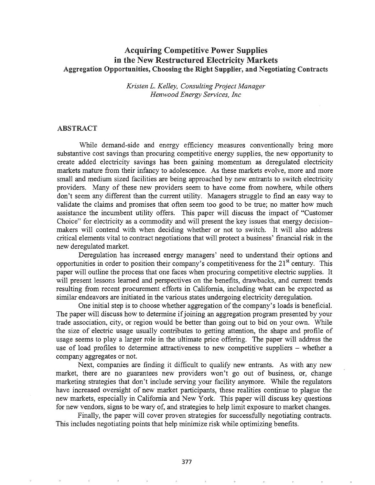# Acquiring Competitive Power Supplies in the New Restructured Electricity Markets Aggregation Opportunities, Choosing the Right Supplier, and Negotiating Contracts

*Kristen L. Kelley, Consulting Project Manager Henwood Energy Services, Inc*

#### ABSTRACT

While demand-side and energy efficiency measures conventionally bring more substantive cost savings than procuring competitive energy supplies, the new opportunity to create added electricity savings has been gaining momentum as deregulated electricity markets mature from their infancy to adolescence. As these markets evolve, more and more small and medium sized facilities are being approached by new entrants to switch electricity providers. Many of these new providers seem to have come from nowhere, while others don't seem any different than the current utility. Managers struggle to find an easy way to validate the claims and promises that often seem too good to be true; no matter how much assistance the incumbent utility offers. This paper will discuss the impact of "Customer Choice" for electricity as a commodity and will present the key issues that energy decisionmakers will contend with when deciding whether or not to switch. It will also address critical elements vital to contract negotiations that will protect a business' financial risk in the new deregulated market.

Deregulation has increased energy managers' need to understand their options and opportunities in order to position their company's competitiveness for the  $21<sup>st</sup>$  century. This paper will outline the process that one faces when procuring competitive electric supplies. It will present lessons learned and perspectives on the benefits, drawbacks, and current trends resulting from recent procurement efforts in California, including what can be expected as similar endeavors are initiated in the various states undergoing electricity deregulation.

One initial step is to choose whether aggregation of the company's loads is beneficial. The paper will discuss how to determine if joining an aggregation program presented by your trade association, city, or region would be better than going out to bid on your own. While the size of electric usage usually contributes to getting attention, the shape and profile of usage seems to play a larger role in the ultimate price offering. The paper will address the use of load profiles to determine attractiveness to new competitive suppliers – whether a company aggregates or not.

Next, companies are finding it difficult to qualify new entrants. As with any new market, there are no guarantees new providers won't go out of business, or, change marketing strategies that don't include serving your facility anymore. While the regulators have increased oversight of new market participants, these realities continue to plague the new markets, especially in California and New York. This paper will discuss key questions for new vendors, signs to be wary of, and strategies to help limit exposure to market changes.

Finally, the paper will cover proven strategies for successfully negotiating contracts. This includes negotiating points that help minimize risk while optimizing benefits.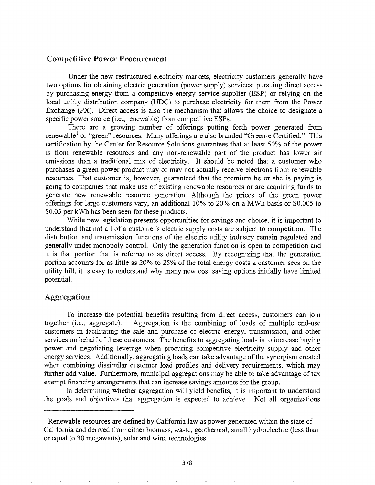## Competitive Power Procurement

Under the new restructured electricity markets, electricity customers generally have two options for obtaining electric generation (power supply) services: pursuing direct access by purchasing energy from a competitive energy service supplier (ESP) or relying on the local utility distribution company (UDC) to purchase electricity for them from the Power Exchange (PX). Direct access is also the mechanism that allows the choice to designate a specific power source (i.e., renewable) from competitive ESPs.

There are a growing number of offerings putting forth power generated from renewable<sup>1</sup> or "green" resources. Many offerings are also branded "Green-e Certified." This certification by the Center for Resource Solutions guarantees that at least 50% of the power is from renewable resources and any non-renewable part of the product has lower air emissions than a traditional mix of electricity. It should be noted that a customer who purchases a green power product mayor may not actually receive electrons from renewable resources. That customer is, however, guaranteed that the premium he or she is paying is going to companies that make use of existing renewable resources or are acquiring funds to generate new renewable resource generation. Although the prices of the green power offerings for large customers vary, an additional 10% to 20% on a MWh basis or \$0.005 to \$0.03 per kWh has been seen for these products.

While new legislation presents opportunities for savings and choice, it is important to understand that not all of a customer's electric supply costs are subject to competition. The distribution and transmission functions of the electric utility industry remain regulated and generally under monopoly control. Only the generation function is open to competition and it is that portion that is referred to as direct access. By recognizing that the generation portion accounts for as little as  $20\%$  to  $25\%$  of the total energy costs a customer sees on the utility bill, it is easy to understand why many new cost saving options initially have limited potential.

# Aggregation

To increase the potential benefits resulting from direct access, customers can join together (i.e., aggregate). Aggregation is the combining of loads of multiple end-use customers in facilitating the sale and purchase of electric energy, transmission, and other services on behalf of these customers. The benefits to aggregating loads is to increase buying power and negotiating leverage when procuring competitive electricity supply and other energy services. Additionally, aggregating loads can take advantage of the synergism created when combining dissimilar customer load profiles and delivery requirements, which may further add value. Furthermore, municipal aggregations may be able to take advantage of tax exempt financing arrangements that can increase savings amounts for the group.

In determining whether aggregation will yield benefits, it is important to understand the goals and objectives that aggregation is expected to achieve. Not all organizations

<sup>&</sup>lt;sup>1</sup> Renewable resources are defined by California law as power generated within the state of California and derived from either biomass, waste, geothermal, small hydroelectric (less than or equal to 30 megawatts), solar and wind technologies.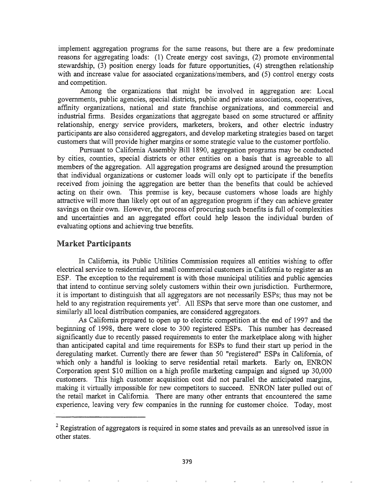implement aggregation programs for the same reasons, but there are a few predominate reasons for aggregating loads: (1) Create energy cost savings, (2) promote environmental stewardship, (3) position energy loads for future opportunities, (4) strengthen relationship with and increase value for associated organizations/members, and (5) control energy costs and competition.

Among the organizations that might be involved in aggregation are: Local governments, public agencies, special districts, public and private associations, cooperatives, affinity organizations, national and state franchise organizations, and commercial and industrial finns. Besides organizations that aggregate based on some structured or affinity relationship, energy service providers, marketers, brokers, and other electric industry participants are also considered aggregators, and develop marketing strategies based on target customers that will provide higher margins or some strategic value to the customer portfolio.

Pursuant to California Assembly Bill 1890, aggregation programs may be conducted by cities, counties, special districts or other entities on a basis that is agreeable to all members of the aggregation. All aggregation programs are designed around the presumption that individual organizations or customer loads will only opt to participate if the benefits received from joining the aggregation are better than the benefits that could be achieved acting on their own. This premise is key, because customers whose loads are highly attractive will more than likely opt out of an aggregation program if they can achieve greater savings on their own. However, the process of procuring such benefits is full of complexities and uncertainties and an aggregated effort could help lesson the individual burden of evaluating options and achieving true benefits.

#### Market Participants

In California, its Public Utilities Commission requires all entities wishing to offer electrical service to residential and small commercial customers in California to register as an ESP. The exception to the requirement is with those municipal utilities and public agencies that intend to continue serving solely customers within their own jurisdiction. Furthermore, it is important to distinguish that all aggregators are not necessarily ESPs; thus may not be held to any registration requirements yet<sup>2</sup>. All ESPs that serve more than one customer, and similarly all local distribution companies, are considered aggregators.

As California prepared to open up to electric competition at the end of 1997 and the beginning of 1998, there were close to 300 registered ESPs. This number has decreased significantly due to recently passed requirements to enter the marketplace along with higher than anticipated capital and time requirements for ESPs to fund their start up period in the deregulating market. Currently there are fewer than 50 "registered" ESPs in California, of which only a handful is looking to serve residential retail markets. Early on, ENRON Corporation spent \$10 million on a high profile marketing campaign and signed up 30,000 customers. This high customer acquisition cost did not parallel the anticipated margins, making it virtually impossible for new competitors to succeed. ENRON later pulled out of the retail market in California. There are many other entrants that encountered the same experience, leaving very few companies in the running for customer choice. Today, most

 $2$  Registration of aggregators is required in some states and prevails as an unresolved issue in other states.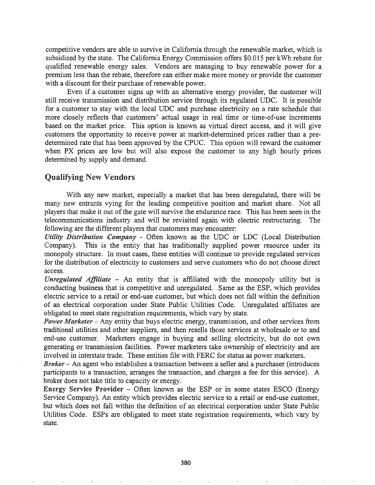competitive vendors are able to survive in California through the renewable market, which is subsidized by the state. The California Energy Commission offers \$0.015 per kWh rebate for qualified renewable energy sales. Vendors are managing to buy renewable power for a premium less than the rebate, therefore can either make more money or provide the customer with a discount for their purchase of renewable power.

Even if a customer signs up with an alternative energy provider, the customer will still receive transmission and distribution service through its regulated UDC. It is possible for a customer to stay with the local UDC and purchase electricity on a rate schedule that more closely reflects that customers' actual usage in real time or time-of-use increments based on the market price. This option is known as virtual direct access, and it will give customers the opportunity to receive power at market-detennined prices rather than a predetermined rate that has been approved by the CPUC. This option will reward the customer when PX prices are low but will also expose the customer to any high hourly prices determined by supply and demand.

## Qualifying New Vendors

With any new market, especially a market that has been deregulated, there will be many new entrants vying for the leading competitive position and market share. Not all players that make it out of the gate will survive the endurance race. This has been seen in the telecommunications industry and will be revisited again with electric restructuring. The following are the different players that customers may encounter:

*Utility Distribution Company* - Often known as the UDC or LDC (Local Distribution Company). This is the entity that has traditionally supplied power resource under its monopoly structure. In most cases, these entities will continue to provide regulated services for the distribution of electricity to customers and serve customers who do not choose direct access.

*Unregulated Affiliate* - An entity that is affiliated with the monopoly utility but is conducting business that is competitive and unregulated. Same as the ESP, which provides electric service to a retail or end-use customer, but which does not fall within the definition of an electrical corporation under State Public Utilities Code. Unregulated affiliates are obligated to meet state registration requirements, which vary by state.

**Power Marketer** – Any entity that buys electric energy, transmission, and other services from traditional utilities and other suppliers, and then resells those services at wholesale or to and end-use customer. Marketers engage in buying and selling electricity, but do not own generating or transmission facilities. Power marketers take ownership of electricity and are involved in interstate trade. These entities file with FERC for status as power marketers.

*Broker* – An agent who establishes a transaction between a seller and a purchaser (introduces participants to a transaction, arranges the transaction, and charges a fee for this service). A broker does not take title to capacity or energy.

Energy Service Provider - Often known as the ESP or in some states ESCO (Energy Service Company). An entity which provides electric service to a retail or end-use customer, but which does not fall within the definition of an electrical corporation under State Public Utilities Code. ESPs are obligated to meet state registration requirements, which vary by state.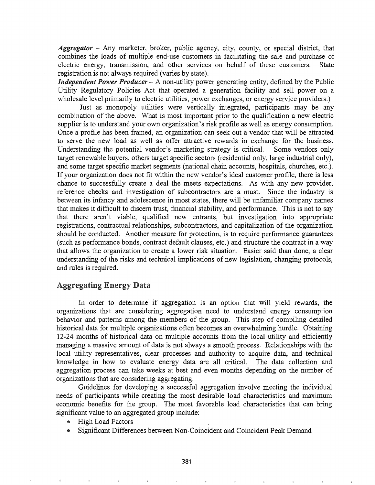*Aggregator* - Any marketer, broker, public agency, city, county, or special district, that combines the loads of multiple end-use customers in facilitating the sale and purchase of electric energy, transmission, and other services on behalf of these customers. State registration is not always required (varies by state).

*Independent Power Producer* - A non-utility power generating entity, defined by the Public Utility Regulatory Policies Act that operated a generation facility and sell power on a wholesale level primarily to electric utilities, power exchanges, or energy service providers.)

Just as monopoly utilities were vertically integrated, participants may be any combination of the above. What is most important prior to the qualification a new electric supplier is to understand your own organization's risk profile as well as energy consumption. Once a profile has been framed, an organization can seek out a vendor that will be attracted to serve the new load as well as offer attractive rewards in exchange for the business. Understanding the potential vendor's marketing strategy is critical. Some vendors only target renewable buyers, others target specific sectors (residential only, large industrial only), and some target specific market segments (national chain accounts, hospitals, churches, etc.). If your organization does not fit within the new vendor's ideal customer profile, there is less chance to successfully create a deal the meets expectations. As with any new provider, reference checks and investigation of subcontractors are a must. Since the industry is between its infancy and adolescence in most states, there will be unfamiliar company names that makes it difficult to discern trust, financial stability, and performance. This is not to say that there aren't viable, qualified new entrants, but investigation into appropriate registrations, contractual relationships, subcontractors, and capitalization of the organization should be conducted. Another measure for protection, is to require performance guarantees (such as performance bonds, contract default clauses, etc.) and structure the contract in a way that allows the organization to create a lower risk situation. Easier said than done, a clear understanding of the risks and technical implications of new legislation, changing protocols, and rules is required.

#### Aggregating Energy Data

In order to determine if aggregation is an option that will yield rewards, the organizations that are considering aggregation need to understand energy consumption behavior and patterns among the members of the group. This step of compiling detailed historical data for multiple organizations often becomes an overwhelming hurdle. Obtaining 12-24 months of historical data on multiple accounts from the local utility and efficiently managing a massive amount of data is not always a smooth process. Relationships with the local utility representatives, clear processes and authority to acquire data, and technical knowledge in how to evaluate energy data are all critical. The data collection and aggregation process can take weeks at best and even months depending on the number of organizations that are considering aggregating.

Guidelines for developing a successful aggregation involve meeting the individual needs of participants while creating the most desirable load characteristics and maximum economic benefits for the group. The most favorable load characteristics that can bring significant value to an aggregated group include:

- <sup>G</sup> High Load Factors
- Significant Differences between Non-Coincident and Coincident Peak Demand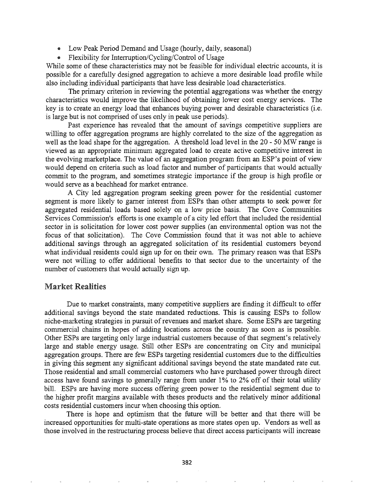- Low Peak Period Demand and Usage (hourly, daily, seasonal)
- Flexibility for Interruption/Cycling/Control of Usage

While some of these characteristics may not be feasible for individual electric accounts, it is possible for a carefully designed aggregation to achieve a more desirable load profile while also including individual participants that have less desirable load characteristics.

The primary criterion in reviewing the potential aggregations was whether the energy characteristics would improve the likelihood of obtaining lower cost energy services. The key is to create an energy load that enhances buying power and desirable characteristics (i.e. is large but is not comprised of uses only in peak use periods).

Past experience has revealed that the amount of savings competitive suppliers are willing to offer aggregation programs are highly correlated to the size of the aggregation as well as the load shape for the aggregation. A threshold load level in the 20 - 50 MW range is viewed as an appropriate minimum aggregated load to create active competitive interest in the evolving marketplace. The value of an aggregation program from an ESP's point of view would depend on criteria such as load factor and number of participants that would actually commit to the program, and sometimes strategic importance if the group is high profile or would serve as a beachhead for market entrance.

A City led aggregation program seeking green power for the residential customer segment is more likely to garner interest from ESPs than other attempts to seek power for aggregated residential loads based solely on a low price basis. The Cove Communities Services Commission's efforts is one example of a city led effort that included the residential sector in is solicitation for lower cost power supplies (an environmental option was not the focus of that solicitation). The Cove Commission found that it was not able to achieve additional savings through an aggregated solicitation of its residential customers beyond what individual residents could sign up for on their own. The primary reason was that ESPs were not willing to offer additional benefits to that sector due to the' uncertainty of the number of customers that would actually sign up.

## Market Realities

Due to market constraints, many competitive suppliers are finding it difficult to offer additional savings beyond the state mandated reductions. This is causing ESPs to follow niche-marketing strategies in pursuit of revenues and market share. Some ESPs are targeting commercial chains in hopes of adding locations across the country as soon as is possible. Other ESPs are targeting only large industrial customers because of that segment's relatively large and stable energy usage. Still other ESPs are concentrating on City and municipal aggregation groups. There are few ESPs targeting residential customers due to the difficulties in giving this segment any significant additional savings beyond the state mandated rate cut. Those residential and small commercial customers who have purchased power through direct access have found savings to generally range from under 1% to 2% off of their total utility bill. ESPs are having more success offering green power to the residential segment due to the higher profit margins available with theses products and the relatively minor additional costs residential customers incur when choosing this option.

There is hope and optimism that the future will be better and that there will be increased opportunities for multi-state operations as more states open up. Vendors as well as those involved in the restructuring process believe that direct access participants will increase